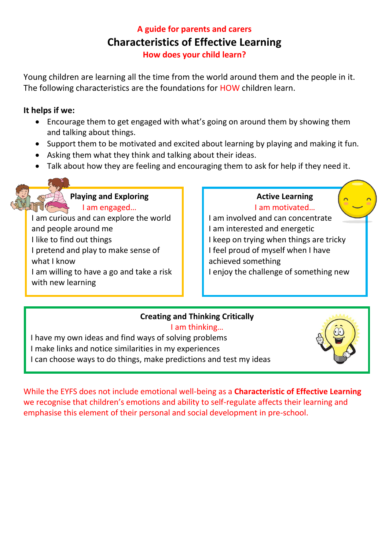# **A guide for parents and carers Characteristics of Effective Learning How does your child learn?**

Young children are learning all the time from the world around them and the people in it. The following characteristics are the foundations for HOW children learn.

### **It helps if we:**

- Encourage them to get engaged with what's going on around them by showing them and talking about things.
- Support them to be motivated and excited about learning by playing and making it fun.
- Asking them what they think and talking about their ideas.
- Talk about how they are feeling and encouraging them to ask for help if they need it.

### **Playing and Exploring** I am engaged…

I am curious and can explore the world and people around me I like to find out things I pretend and play to make sense of what I know I am willing to have a go and take a risk with new learning

#### **Active Learning** I am motivated…

I am involved and can concentrate I am interested and energetic I keep on trying when things are tricky I feel proud of myself when I have achieved something I enjoy the challenge of something new

### **Creating and Thinking Critically**

I am thinking… I have my own ideas and find ways of solving problems

- I make links and notice similarities in my experiences
- I can choose ways to do things, make predictions and test my ideas



While the EYFS does not include emotional well-being as a **Characteristic of Effective Learning**  we recognise that children's emotions and ability to self-regulate affects their learning and emphasise this element of their personal and social development in pre-school.